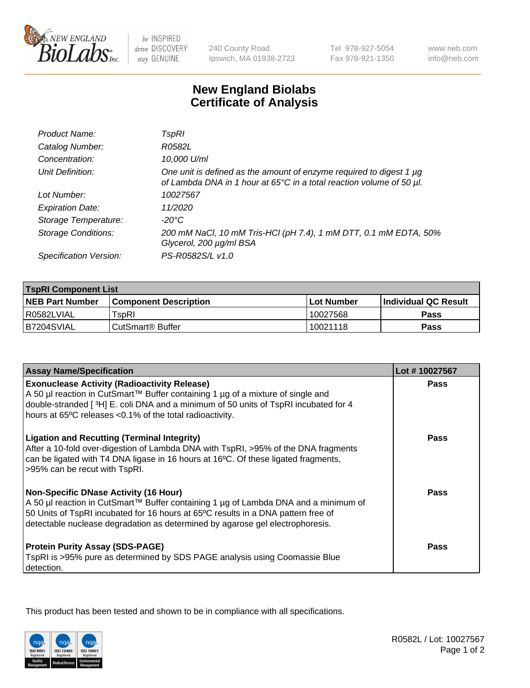

 $be$  INSPIRED drive DISCOVERY stay GENUINE

240 County Road Ipswich, MA 01938-2723 Tel 978-927-5054 Fax 978-921-1350

www.neb.com info@neb.com

## **New England Biolabs Certificate of Analysis**

| Product Name:              | TspRI                                                                                                                                       |
|----------------------------|---------------------------------------------------------------------------------------------------------------------------------------------|
| Catalog Number:            | R0582L                                                                                                                                      |
| Concentration:             | 10,000 U/ml                                                                                                                                 |
| Unit Definition:           | One unit is defined as the amount of enzyme required to digest 1 µg<br>of Lambda DNA in 1 hour at 65°C in a total reaction volume of 50 µl. |
| Lot Number:                | 10027567                                                                                                                                    |
| <b>Expiration Date:</b>    | 11/2020                                                                                                                                     |
| Storage Temperature:       | -20°C                                                                                                                                       |
| <b>Storage Conditions:</b> | 200 mM NaCl, 10 mM Tris-HCl (pH 7.4), 1 mM DTT, 0.1 mM EDTA, 50%<br>Glycerol, 200 µg/ml BSA                                                 |
| Specification Version:     | PS-R0582S/L v1.0                                                                                                                            |

| <b>TspRI Component List</b> |                              |                   |                       |  |
|-----------------------------|------------------------------|-------------------|-----------------------|--|
| <b>NEB Part Number</b>      | <b>Component Description</b> | <b>Lot Number</b> | ∣Individual QC Result |  |
| R0582LVIAL                  | TspRI                        | 10027568          | <b>Pass</b>           |  |
| IB7204SVIAL                 | ' CutSmart® Buffer_          | 10021118          | Pass                  |  |

| <b>Assay Name/Specification</b>                                                                                                                                                                                                                                                                           | Lot #10027567 |
|-----------------------------------------------------------------------------------------------------------------------------------------------------------------------------------------------------------------------------------------------------------------------------------------------------------|---------------|
| <b>Exonuclease Activity (Radioactivity Release)</b><br>A 50 µl reaction in CutSmart™ Buffer containing 1 µg of a mixture of single and                                                                                                                                                                    | Pass          |
| double-stranded [3H] E. coli DNA and a minimum of 50 units of TspRI incubated for 4<br>hours at 65°C releases <0.1% of the total radioactivity.                                                                                                                                                           |               |
| <b>Ligation and Recutting (Terminal Integrity)</b><br>After a 10-fold over-digestion of Lambda DNA with TspRI, >95% of the DNA fragments<br>can be ligated with T4 DNA ligase in 16 hours at 16°C. Of these ligated fragments,<br>>95% can be recut with TspRI.                                           | <b>Pass</b>   |
| <b>Non-Specific DNase Activity (16 Hour)</b><br>A 50 µl reaction in CutSmart™ Buffer containing 1 µg of Lambda DNA and a minimum of<br>50 Units of TspRI incubated for 16 hours at 65°C results in a DNA pattern free of<br>detectable nuclease degradation as determined by agarose gel electrophoresis. | <b>Pass</b>   |
| <b>Protein Purity Assay (SDS-PAGE)</b><br>TspRI is >95% pure as determined by SDS PAGE analysis using Coomassie Blue<br>detection.                                                                                                                                                                        | Pass          |

This product has been tested and shown to be in compliance with all specifications.